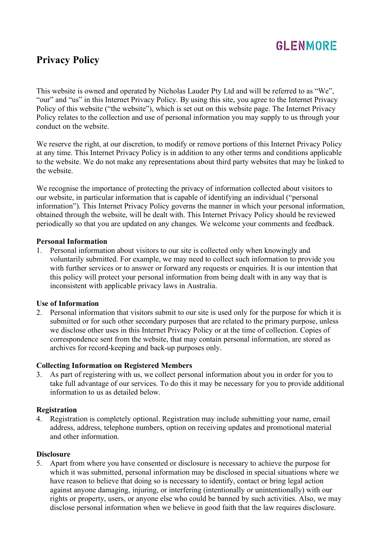

# **Privacy Policy**

This website is owned and operated by Nicholas Lauder Pty Ltd and will be referred to as "We", "our" and "us" in this Internet Privacy Policy. By using this site, you agree to the Internet Privacy Policy of this website ("the website"), which is set out on this website page. The Internet Privacy Policy relates to the collection and use of personal information you may supply to us through your conduct on the website.

We reserve the right, at our discretion, to modify or remove portions of this Internet Privacy Policy at any time. This Internet Privacy Policy is in addition to any other terms and conditions applicable to the website. We do not make any representations about third party websites that may be linked to the website.

We recognise the importance of protecting the privacy of information collected about visitors to our website, in particular information that is capable of identifying an individual ("personal information"). This Internet Privacy Policy governs the manner in which your personal information, obtained through the website, will be dealt with. This Internet Privacy Policy should be reviewed periodically so that you are updated on any changes. We welcome your comments and feedback.

### **Personal Information**

1. Personal information about visitors to our site is collected only when knowingly and voluntarily submitted. For example, we may need to collect such information to provide you with further services or to answer or forward any requests or enquiries. It is our intention that this policy will protect your personal information from being dealt with in any way that is inconsistent with applicable privacy laws in Australia.

### **Use of Information**

2. Personal information that visitors submit to our site is used only for the purpose for which it is submitted or for such other secondary purposes that are related to the primary purpose, unless we disclose other uses in this Internet Privacy Policy or at the time of collection. Copies of correspondence sent from the website, that may contain personal information, are stored as archives for record-keeping and back-up purposes only.

### **Collecting Information on Registered Members**

3. As part of registering with us, we collect personal information about you in order for you to take full advantage of our services. To do this it may be necessary for you to provide additional information to us as detailed below.

### **Registration**

4. Registration is completely optional. Registration may include submitting your name, email address, address, telephone numbers, option on receiving updates and promotional material and other information.

### **Disclosure**

5. Apart from where you have consented or disclosure is necessary to achieve the purpose for which it was submitted, personal information may be disclosed in special situations where we have reason to believe that doing so is necessary to identify, contact or bring legal action against anyone damaging, injuring, or interfering (intentionally or unintentionally) with our rights or property, users, or anyone else who could be banned by such activities. Also, we may disclose personal information when we believe in good faith that the law requires disclosure.